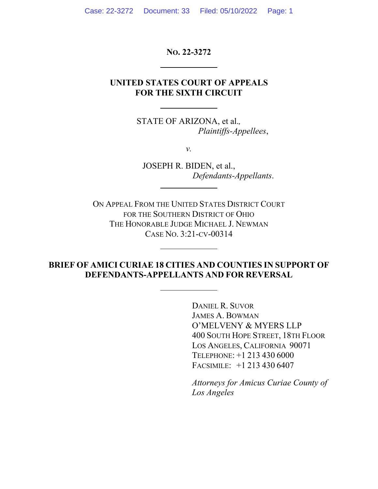**NO. 22-3272** 

# **UNITED STATES COURT OF APPEALS FOR THE SIXTH CIRCUIT**

STATE OF ARIZONA, et al.*, Plaintiffs-Appellees*,

*v.* 

JOSEPH R. BIDEN, et al., *Defendants-Appellants*.

ON APPEAL FROM THE UNITED STATES DISTRICT COURT FOR THE SOUTHERN DISTRICT OF OHIO THE HONORABLE JUDGE MICHAEL J. NEWMAN CASE NO. 3:21-CV-00314

## **BRIEF OF AMICI CURIAE 18 CITIES AND COUNTIES IN SUPPORT OF DEFENDANTS-APPELLANTS AND FOR REVERSAL**

DANIEL R. SUVOR JAMES A. BOWMAN O'MELVENY & MYERS LLP 400 SOUTH HOPE STREET, 18TH FLOOR LOS ANGELES, CALIFORNIA 90071 TELEPHONE: +1 213 430 6000 FACSIMILE: +1 213 430 6407

*Attorneys for Amicus Curiae County of Los Angeles*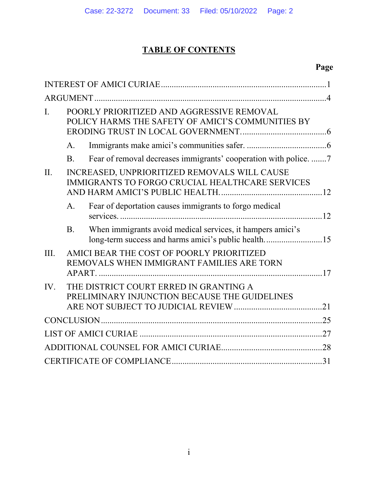# **TABLE OF CONTENTS**

# **Page**

| L.   |                | POORLY PRIORITIZED AND AGGRESSIVE REMOVAL<br>POLICY HARMS THE SAFETY OF AMICI'S COMMUNITIES BY         |  |
|------|----------------|--------------------------------------------------------------------------------------------------------|--|
|      | $A_{\cdot}$    |                                                                                                        |  |
|      | B <sub>r</sub> | Fear of removal decreases immigrants' cooperation with police. 7                                       |  |
| II.  |                | INCREASED, UNPRIORITIZED REMOVALS WILL CAUSE<br><b>IMMIGRANTS TO FORGO CRUCIAL HEALTHCARE SERVICES</b> |  |
|      | A.             | Fear of deportation causes immigrants to forgo medical                                                 |  |
|      | <b>B.</b>      | When immigrants avoid medical services, it hampers amici's                                             |  |
| III. |                | AMICI BEAR THE COST OF POORLY PRIORITIZED<br>REMOVALS WHEN IMMIGRANT FAMILIES ARE TORN                 |  |
| IV.  |                | THE DISTRICT COURT ERRED IN GRANTING A<br>PRELIMINARY INJUNCTION BECAUSE THE GUIDELINES                |  |
|      |                |                                                                                                        |  |
|      |                |                                                                                                        |  |
|      |                |                                                                                                        |  |
|      |                |                                                                                                        |  |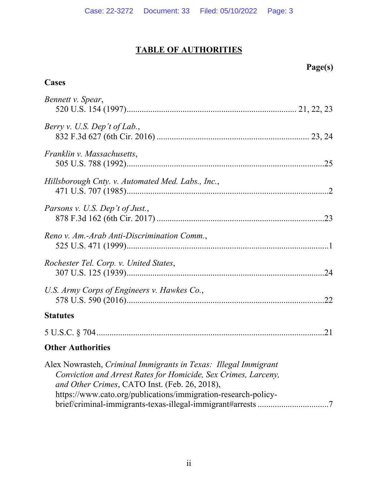# **TABLE OF AUTHORITIES**

# **Page(s)**

# **Cases**

| Bennett v. Spear,                                               |
|-----------------------------------------------------------------|
| Berry v. U.S. Dep't of Lab.,                                    |
| Franklin v. Massachusetts,                                      |
| Hillsborough Cnty. v. Automated Med. Labs., Inc.,               |
| Parsons v. U.S. Dep't of Just.,                                 |
| Reno v. Am.-Arab Anti-Discrimination Comm.,                     |
| Rochester Tel. Corp. v. United States,                          |
| U.S. Army Corps of Engineers v. Hawkes Co.,                     |
| <b>Statutes</b>                                                 |
|                                                                 |
| <b>Other Authorities</b>                                        |
| Alex Nowrasteh, Criminal Immigrants in Texas: Illegal Immigrant |

| $\mathbf{r}$ . The magnetic $\mathbf{r}$ interference there is no the $\mathbf{r}$ control. The same there is no the |
|----------------------------------------------------------------------------------------------------------------------|
| Conviction and Arrest Rates for Homicide, Sex Crimes, Larceny,                                                       |
| and Other Crimes, CATO Inst. (Feb. 26, 2018),                                                                        |
| https://www.cato.org/publications/immigration-research-policy-                                                       |
|                                                                                                                      |
|                                                                                                                      |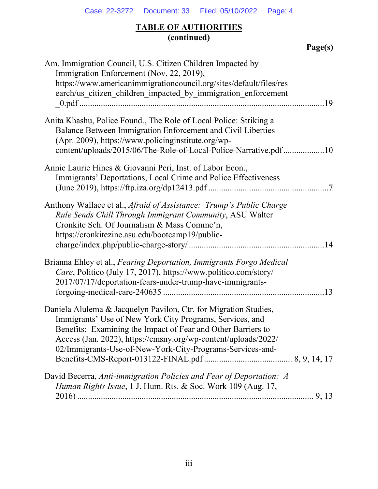## **TABLE OF AUTHORITIES (continued)**

| Page(s)                                                                                                                                                                                                                                                                                                                     |     |
|-----------------------------------------------------------------------------------------------------------------------------------------------------------------------------------------------------------------------------------------------------------------------------------------------------------------------------|-----|
| Am. Immigration Council, U.S. Citizen Children Impacted by<br>Immigration Enforcement (Nov. 22, 2019),<br>https://www.americanimmigrationcouncil.org/sites/default/files/res<br>earch/us_citizen_children_impacted_by_immigration_enforcement                                                                               |     |
| Anita Khashu, Police Found., The Role of Local Police: Striking a<br>Balance Between Immigration Enforcement and Civil Liberties<br>(Apr. 2009), https://www.policinginstitute.org/wp-<br>content/uploads/2015/06/The-Role-of-Local-Police-Narrative.pdf10                                                                  |     |
| Annie Laurie Hines & Giovanni Peri, Inst. of Labor Econ.,<br>Immigrants' Deportations, Local Crime and Police Effectiveness                                                                                                                                                                                                 |     |
| Anthony Wallace et al., Afraid of Assistance: Trump's Public Charge<br>Rule Sends Chill Through Immigrant Community, ASU Walter<br>Cronkite Sch. Of Journalism & Mass Comme'n,<br>https://cronkitezine.asu.edu/bootcamp19/public-                                                                                           |     |
| Brianna Ehley et al., Fearing Deportation, Immigrants Forgo Medical<br>Care, Politico (July 17, 2017), https://www.politico.com/story/<br>2017/07/17/deportation-fears-under-trump-have-immigrants-                                                                                                                         | .13 |
| Daniela Alulema & Jacquelyn Pavilon, Ctr. for Migration Studies,<br>Immigrants' Use of New York City Programs, Services, and<br>Benefits: Examining the Impact of Fear and Other Barriers to<br>Access (Jan. 2022), https://cmsny.org/wp-content/uploads/2022/<br>02/Immigrants-Use-of-New-York-City-Programs-Services-and- |     |
| David Becerra, Anti-immigration Policies and Fear of Deportation: A<br>Human Rights Issue, 1 J. Hum. Rts. & Soc. Work 109 (Aug. 17,                                                                                                                                                                                         |     |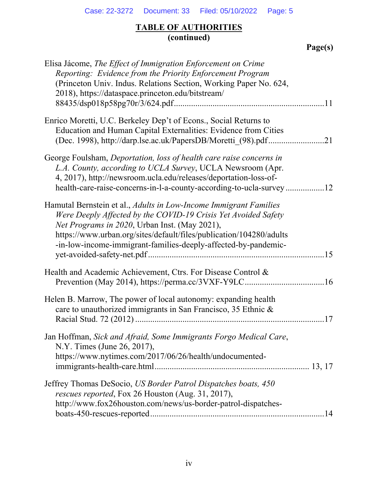## **TABLE OF AUTHORITIES (continued)**

**Page(s)**

| Elisa Jácome, The Effect of Immigration Enforcement on Crime<br>Reporting: Evidence from the Priority Enforcement Program<br>(Princeton Univ. Indus. Relations Section, Working Paper No. 624,<br>2018), https://dataspace.princeton.edu/bitstream/                                                                           |  |
|-------------------------------------------------------------------------------------------------------------------------------------------------------------------------------------------------------------------------------------------------------------------------------------------------------------------------------|--|
| Enrico Moretti, U.C. Berkeley Dep't of Econs., Social Returns to<br>Education and Human Capital Externalities: Evidence from Cities<br>(Dec. 1998), http://darp.lse.ac.uk/PapersDB/Moretti (98).pdf21                                                                                                                         |  |
| George Foulsham, Deportation, loss of health care raise concerns in<br>L.A. County, according to UCLA Survey, UCLA Newsroom (Apr.<br>4, 2017), http://newsroom.ucla.edu/releases/deportation-loss-of-<br>health-care-raise-concerns-in-l-a-county-according-to-ucla-survey12                                                  |  |
| Hamutal Bernstein et al., Adults in Low-Income Immigrant Families<br>Were Deeply Affected by the COVID-19 Crisis Yet Avoided Safety<br>Net Programs in 2020, Urban Inst. (May 2021),<br>https://www.urban.org/sites/default/files/publication/104280/adults<br>-in-low-income-immigrant-families-deeply-affected-by-pandemic- |  |
| Health and Academic Achievement, Ctrs. For Disease Control &                                                                                                                                                                                                                                                                  |  |
| Helen B. Marrow, The power of local autonomy: expanding health<br>care to unauthorized immigrants in San Francisco, 35 Ethnic &                                                                                                                                                                                               |  |
| Jan Hoffman, Sick and Afraid, Some Immigrants Forgo Medical Care,<br>N.Y. Times (June 26, 2017),<br>https://www.nytimes.com/2017/06/26/health/undocumented-                                                                                                                                                                   |  |
| Jeffrey Thomas DeSocio, US Border Patrol Dispatches boats, 450<br>rescues reported, Fox 26 Houston (Aug. 31, 2017),<br>http://www.fox26houston.com/news/us-border-patrol-dispatches-                                                                                                                                          |  |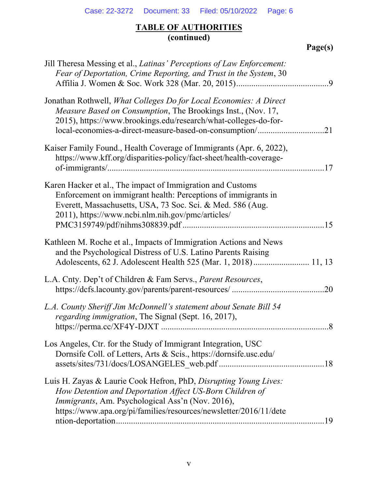## **TABLE OF AUTHORITIES (continued)**

| Jill Theresa Messing et al., Latinas' Perceptions of Law Enforcement:<br>Fear of Deportation, Crime Reporting, and Trust in the System, 30                                                                                                                       |  |
|------------------------------------------------------------------------------------------------------------------------------------------------------------------------------------------------------------------------------------------------------------------|--|
|                                                                                                                                                                                                                                                                  |  |
| Jonathan Rothwell, What Colleges Do for Local Economies: A Direct<br>Measure Based on Consumption, The Brookings Inst., (Nov. 17,<br>2015), https://www.brookings.edu/research/what-colleges-do-for-<br>local-economies-a-direct-measure-based-on-consumption/21 |  |
| Kaiser Family Found., Health Coverage of Immigrants (Apr. 6, 2022),                                                                                                                                                                                              |  |
| https://www.kff.org/disparities-policy/fact-sheet/health-coverage-                                                                                                                                                                                               |  |
| Karen Hacker et al., The impact of Immigration and Customs<br>Enforcement on immigrant health: Perceptions of immigrants in<br>Everett, Massachusetts, USA, 73 Soc. Sci. & Med. 586 (Aug.<br>2011), https://www.ncbi.nlm.nih.gov/pmc/articles/                   |  |
|                                                                                                                                                                                                                                                                  |  |
| Kathleen M. Roche et al., Impacts of Immigration Actions and News<br>and the Psychological Distress of U.S. Latino Parents Raising<br>Adolescents, 62 J. Adolescent Health 525 (Mar. 1, 2018) 11, 13                                                             |  |
| L.A. Cnty. Dep't of Children & Fam Servs., Parent Resources,                                                                                                                                                                                                     |  |
| L.A. County Sheriff Jim McDonnell's statement about Senate Bill 54<br>regarding immigration, The Signal (Sept. 16, 2017),                                                                                                                                        |  |
| Los Angeles, Ctr. for the Study of Immigrant Integration, USC<br>Dornsife Coll. of Letters, Arts & Scis., https://dornsife.usc.edu/                                                                                                                              |  |
| Luis H. Zayas & Laurie Cook Hefron, PhD, Disrupting Young Lives:<br>How Detention and Deportation Affect US-Born Children of<br>Immigrants, Am. Psychological Ass'n (Nov. 2016),<br>https://www.apa.org/pi/families/resources/newsletter/2016/11/dete            |  |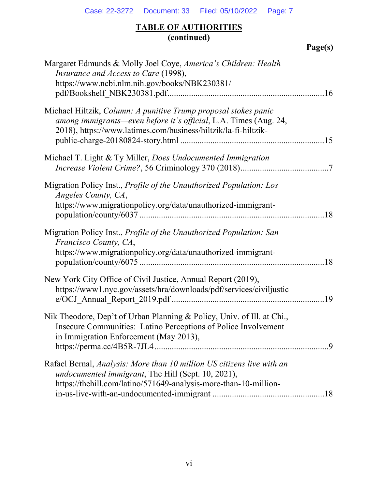# **TABLE OF AUTHORITIES (continued)**

|                                                                                                                                                                                                       | Page(s) |
|-------------------------------------------------------------------------------------------------------------------------------------------------------------------------------------------------------|---------|
| Margaret Edmunds & Molly Joel Coye, America's Children: Health<br>Insurance and Access to Care (1998),<br>https://www.ncbi.nlm.nih.gov/books/NBK230381/                                               |         |
| Michael Hiltzik, Column: A punitive Trump proposal stokes panic<br>among immigrants—even before it's official, L.A. Times (Aug. 24,<br>2018), https://www.latimes.com/business/hiltzik/la-fi-hiltzik- |         |
| Michael T. Light & Ty Miller, <i>Does Undocumented Immigration</i>                                                                                                                                    |         |
| Migration Policy Inst., <i>Profile of the Unauthorized Population: Los</i><br>Angeles County, CA,<br>https://www.migrationpolicy.org/data/unauthorized-immigrant-                                     |         |
| Migration Policy Inst., <i>Profile of the Unauthorized Population: San</i><br>Francisco County, CA,<br>https://www.migrationpolicy.org/data/unauthorized-immigrant-                                   |         |
| New York City Office of Civil Justice, Annual Report (2019),<br>https://www1.nyc.gov/assets/hra/downloads/pdf/services/civiljustic                                                                    |         |
| Nik Theodore, Dep't of Urban Planning & Policy, Univ. of Ill. at Chi.,<br>Insecure Communities: Latino Perceptions of Police Involvement<br>in Immigration Enforcement (May 2013),                    |         |
| Rafael Bernal, Analysis: More than 10 million US citizens live with an<br>undocumented immigrant, The Hill (Sept. 10, 2021),<br>https://thehill.com/latino/571649-analysis-more-than-10-million-      |         |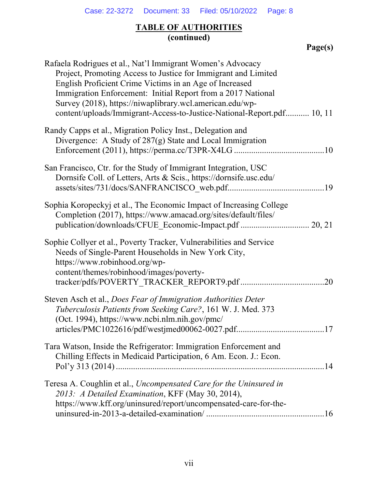# **TABLE OF AUTHORITIES (continued)**

**Page(s)**

| Rafaela Rodrigues et al., Nat'l Immigrant Women's Advocacy<br>Project, Promoting Access to Justice for Immigrant and Limited<br>English Proficient Crime Victims in an Age of Increased<br>Immigration Enforcement: Initial Report from a 2017 National<br>Survey (2018), https://niwaplibrary.wcl.american.edu/wp-<br>content/uploads/Immigrant-Access-to-Justice-National-Report.pdf 10, 11 |     |
|-----------------------------------------------------------------------------------------------------------------------------------------------------------------------------------------------------------------------------------------------------------------------------------------------------------------------------------------------------------------------------------------------|-----|
| Randy Capps et al., Migration Policy Inst., Delegation and<br>Divergence: A Study of 287(g) State and Local Immigration                                                                                                                                                                                                                                                                       |     |
| San Francisco, Ctr. for the Study of Immigrant Integration, USC<br>Dornsife Coll. of Letters, Arts & Scis., https://dornsife.usc.edu/                                                                                                                                                                                                                                                         |     |
| Sophia Koropeckyj et al., The Economic Impact of Increasing College<br>Completion (2017), https://www.amacad.org/sites/default/files/<br>publication/downloads/CFUE Economic-Impact.pdf  20, 21                                                                                                                                                                                               |     |
| Sophie Collyer et al., Poverty Tracker, Vulnerabilities and Service<br>Needs of Single-Parent Households in New York City,<br>https://www.robinhood.org/wp-<br>content/themes/robinhood/images/poverty-                                                                                                                                                                                       | .20 |
| Steven Asch et al., Does Fear of Immigration Authorities Deter<br>Tuberculosis Patients from Seeking Care?, 161 W. J. Med. 373<br>(Oct. 1994), https://www.ncbi.nlm.nih.gov/pmc/                                                                                                                                                                                                              |     |
| Tara Watson, Inside the Refrigerator: Immigration Enforcement and<br>Chilling Effects in Medicaid Participation, 6 Am. Econ. J.: Econ.                                                                                                                                                                                                                                                        |     |
| Teresa A. Coughlin et al., Uncompensated Care for the Uninsured in<br>2013: A Detailed Examination, KFF (May 30, 2014),<br>https://www.kff.org/uninsured/report/uncompensated-care-for-the-                                                                                                                                                                                                   |     |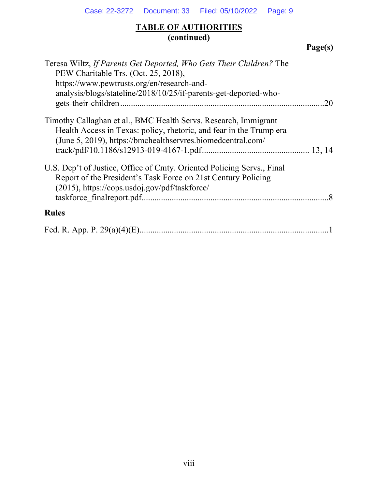# **TABLE OF AUTHORITIES (continued)**

| Teresa Wiltz, If Parents Get Deported, Who Gets Their Children? The<br>PEW Charitable Trs. (Oct. 25, 2018),<br>https://www.pewtrusts.org/en/research-and-<br>analysis/blogs/stateline/2018/10/25/if-parents-get-deported-who-<br>20 |
|-------------------------------------------------------------------------------------------------------------------------------------------------------------------------------------------------------------------------------------|
| Timothy Callaghan et al., BMC Health Servs. Research, Immigrant<br>Health Access in Texas: policy, rhetoric, and fear in the Trump era<br>(June 5, 2019), https://bmchealthservres.biomedcentral.com/                               |
| U.S. Dep't of Justice, Office of Cmty. Oriented Policing Servs., Final<br>Report of the President's Task Force on 21st Century Policing<br>(2015), https://cops.usdoj.gov/pdf/taskforce/                                            |
| <b>Rules</b>                                                                                                                                                                                                                        |
|                                                                                                                                                                                                                                     |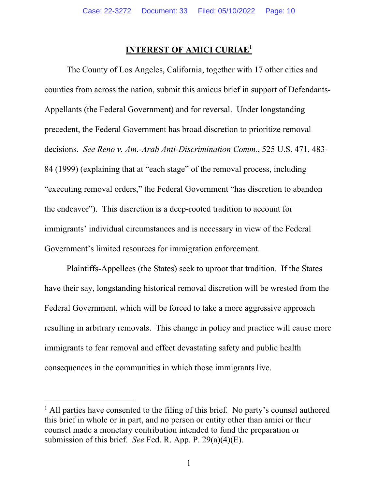# **INTEREST OF AMICI CURIAE<sup>1</sup>**

The County of Los Angeles, California, together with 17 other cities and counties from across the nation, submit this amicus brief in support of Defendants-Appellants (the Federal Government) and for reversal. Under longstanding precedent, the Federal Government has broad discretion to prioritize removal decisions. *See Reno v. Am.-Arab Anti-Discrimination Comm.*, 525 U.S. 471, 483- 84 (1999) (explaining that at "each stage" of the removal process, including "executing removal orders," the Federal Government "has discretion to abandon the endeavor"). This discretion is a deep-rooted tradition to account for immigrants' individual circumstances and is necessary in view of the Federal Government's limited resources for immigration enforcement.

Plaintiffs-Appellees (the States) seek to uproot that tradition. If the States have their say, longstanding historical removal discretion will be wrested from the Federal Government, which will be forced to take a more aggressive approach resulting in arbitrary removals. This change in policy and practice will cause more immigrants to fear removal and effect devastating safety and public health consequences in the communities in which those immigrants live.

<sup>&</sup>lt;sup>1</sup> All parties have consented to the filing of this brief. No party's counsel authored this brief in whole or in part, and no person or entity other than amici or their counsel made a monetary contribution intended to fund the preparation or submission of this brief. *See* Fed. R. App. P. 29(a)(4)(E).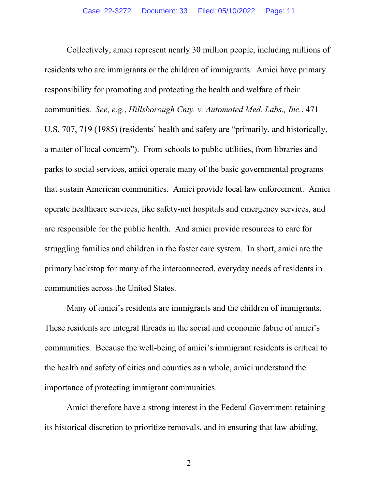Collectively, amici represent nearly 30 million people, including millions of residents who are immigrants or the children of immigrants. Amici have primary responsibility for promoting and protecting the health and welfare of their communities. *See, e.g.*, *Hillsborough Cnty. v. Automated Med. Labs., Inc.*, 471 U.S. 707, 719 (1985) (residents' health and safety are "primarily, and historically, a matter of local concern"). From schools to public utilities, from libraries and parks to social services, amici operate many of the basic governmental programs that sustain American communities. Amici provide local law enforcement. Amici operate healthcare services, like safety-net hospitals and emergency services, and are responsible for the public health. And amici provide resources to care for struggling families and children in the foster care system. In short, amici are the primary backstop for many of the interconnected, everyday needs of residents in communities across the United States.

Many of amici's residents are immigrants and the children of immigrants. These residents are integral threads in the social and economic fabric of amici's communities. Because the well-being of amici's immigrant residents is critical to the health and safety of cities and counties as a whole, amici understand the importance of protecting immigrant communities.

Amici therefore have a strong interest in the Federal Government retaining its historical discretion to prioritize removals, and in ensuring that law-abiding,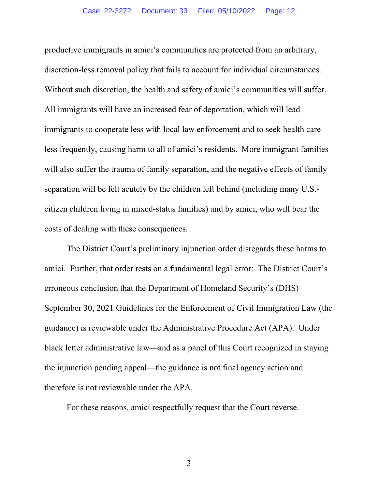productive immigrants in amici's communities are protected from an arbitrary, discretion-less removal policy that fails to account for individual circumstances. Without such discretion, the health and safety of amici's communities will suffer. All immigrants will have an increased fear of deportation, which will lead immigrants to cooperate less with local law enforcement and to seek health care less frequently, causing harm to all of amici's residents. More immigrant families will also suffer the trauma of family separation, and the negative effects of family separation will be felt acutely by the children left behind (including many U.S. citizen children living in mixed-status families) and by amici, who will bear the costs of dealing with these consequences.

The District Court's preliminary injunction order disregards these harms to amici. Further, that order rests on a fundamental legal error: The District Court's erroneous conclusion that the Department of Homeland Security's (DHS) September 30, 2021 Guidelines for the Enforcement of Civil Immigration Law (the guidance) is reviewable under the Administrative Procedure Act (APA). Under black letter administrative law—and as a panel of this Court recognized in staying the injunction pending appeal—the guidance is not final agency action and therefore is not reviewable under the APA.

For these reasons, amici respectfully request that the Court reverse.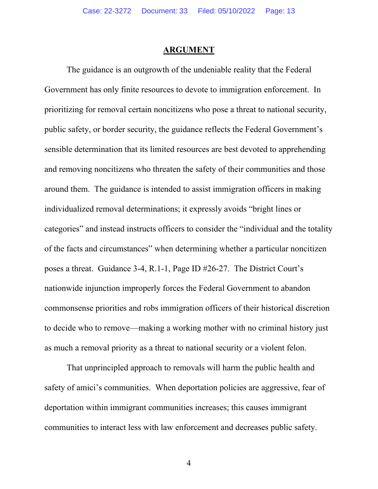#### **ARGUMENT**

The guidance is an outgrowth of the undeniable reality that the Federal Government has only finite resources to devote to immigration enforcement. In prioritizing for removal certain noncitizens who pose a threat to national security, public safety, or border security, the guidance reflects the Federal Government's sensible determination that its limited resources are best devoted to apprehending and removing noncitizens who threaten the safety of their communities and those around them. The guidance is intended to assist immigration officers in making individualized removal determinations; it expressly avoids "bright lines or categories" and instead instructs officers to consider the "individual and the totality of the facts and circumstances" when determining whether a particular noncitizen poses a threat. Guidance 3-4, R.1-1, Page ID #26-27. The District Court's nationwide injunction improperly forces the Federal Government to abandon commonsense priorities and robs immigration officers of their historical discretion to decide who to remove—making a working mother with no criminal history just as much a removal priority as a threat to national security or a violent felon.

That unprincipled approach to removals will harm the public health and safety of amici's communities. When deportation policies are aggressive, fear of deportation within immigrant communities increases; this causes immigrant communities to interact less with law enforcement and decreases public safety.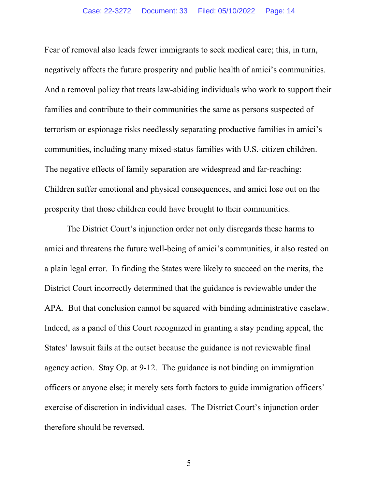Fear of removal also leads fewer immigrants to seek medical care; this, in turn, negatively affects the future prosperity and public health of amici's communities. And a removal policy that treats law-abiding individuals who work to support their families and contribute to their communities the same as persons suspected of terrorism or espionage risks needlessly separating productive families in amici's communities, including many mixed-status families with U.S.-citizen children. The negative effects of family separation are widespread and far-reaching: Children suffer emotional and physical consequences, and amici lose out on the prosperity that those children could have brought to their communities.

The District Court's injunction order not only disregards these harms to amici and threatens the future well-being of amici's communities, it also rested on a plain legal error. In finding the States were likely to succeed on the merits, the District Court incorrectly determined that the guidance is reviewable under the APA. But that conclusion cannot be squared with binding administrative caselaw. Indeed, as a panel of this Court recognized in granting a stay pending appeal, the States' lawsuit fails at the outset because the guidance is not reviewable final agency action. Stay Op. at 9-12. The guidance is not binding on immigration officers or anyone else; it merely sets forth factors to guide immigration officers' exercise of discretion in individual cases. The District Court's injunction order therefore should be reversed.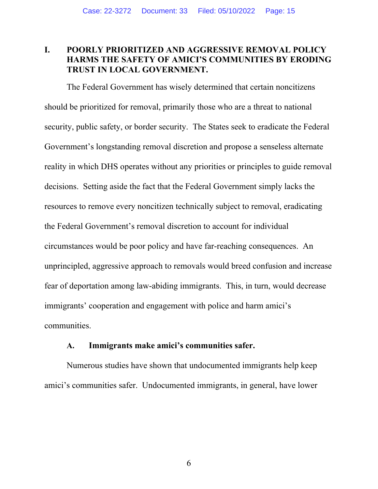# **I. POORLY PRIORITIZED AND AGGRESSIVE REMOVAL POLICY HARMS THE SAFETY OF AMICI'S COMMUNITIES BY ERODING TRUST IN LOCAL GOVERNMENT.**

The Federal Government has wisely determined that certain noncitizens should be prioritized for removal, primarily those who are a threat to national security, public safety, or border security. The States seek to eradicate the Federal Government's longstanding removal discretion and propose a senseless alternate reality in which DHS operates without any priorities or principles to guide removal decisions. Setting aside the fact that the Federal Government simply lacks the resources to remove every noncitizen technically subject to removal, eradicating the Federal Government's removal discretion to account for individual circumstances would be poor policy and have far-reaching consequences. An unprincipled, aggressive approach to removals would breed confusion and increase fear of deportation among law-abiding immigrants. This, in turn, would decrease immigrants' cooperation and engagement with police and harm amici's communities.

# **A. Immigrants make amici's communities safer.**

 Numerous studies have shown that undocumented immigrants help keep amici's communities safer. Undocumented immigrants, in general, have lower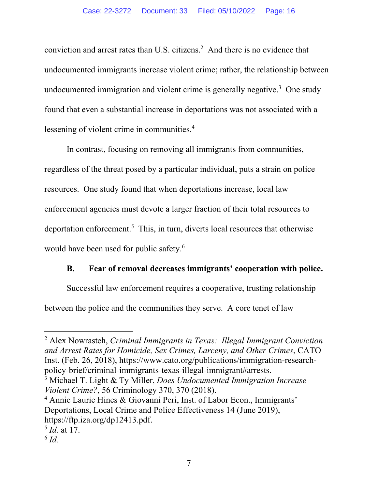conviction and arrest rates than U.S. citizens.<sup>2</sup> And there is no evidence that undocumented immigrants increase violent crime; rather, the relationship between undocumented immigration and violent crime is generally negative. $3$  One study found that even a substantial increase in deportations was not associated with a lessening of violent crime in communities.<sup>4</sup>

In contrast, focusing on removing all immigrants from communities, regardless of the threat posed by a particular individual, puts a strain on police resources. One study found that when deportations increase, local law enforcement agencies must devote a larger fraction of their total resources to deportation enforcement.<sup>5</sup> This, in turn, diverts local resources that otherwise would have been used for public safety.<sup>6</sup>

# **B. Fear of removal decreases immigrants' cooperation with police.**

Successful law enforcement requires a cooperative, trusting relationship

between the police and the communities they serve. A core tenet of law

4 Annie Laurie Hines & Giovanni Peri, Inst. of Labor Econ., Immigrants' Deportations, Local Crime and Police Effectiveness 14 (June 2019), https://ftp.iza.org/dp12413.pdf.

<sup>2</sup> Alex Nowrasteh, *Criminal Immigrants in Texas: Illegal Immigrant Conviction and Arrest Rates for Homicide, Sex Crimes, Larceny, and Other Crimes*, CATO Inst. (Feb. 26, 2018), https://www.cato.org/publications/immigration-researchpolicy-brief/criminal-immigrants-texas-illegal-immigrant#arrests.

<sup>3</sup> Michael T. Light & Ty Miller, *Does Undocumented Immigration Increase Violent Crime?*, 56 Criminology 370, 370 (2018).

<sup>5</sup> *Id.* at 17.

 $6$   $Id$ .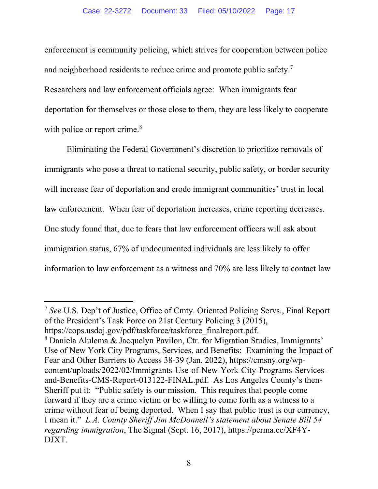enforcement is community policing, which strives for cooperation between police and neighborhood residents to reduce crime and promote public safety. $<sup>7</sup>$ </sup> Researchers and law enforcement officials agree: When immigrants fear deportation for themselves or those close to them, they are less likely to cooperate with police or report crime.<sup>8</sup>

 Eliminating the Federal Government's discretion to prioritize removals of immigrants who pose a threat to national security, public safety, or border security will increase fear of deportation and erode immigrant communities' trust in local law enforcement. When fear of deportation increases, crime reporting decreases. One study found that, due to fears that law enforcement officers will ask about immigration status, 67% of undocumented individuals are less likely to offer information to law enforcement as a witness and 70% are less likely to contact law

<sup>7</sup> *See* U.S. Dep't of Justice, Office of Cmty. Oriented Policing Servs., Final Report of the President's Task Force on 21st Century Policing 3 (2015), https://cops.usdoj.gov/pdf/taskforce/taskforce\_finalreport.pdf.

<sup>&</sup>lt;sup>8</sup> Daniela Alulema & Jacquelyn Pavilon, Ctr. for Migration Studies, Immigrants' Use of New York City Programs, Services, and Benefits: Examining the Impact of Fear and Other Barriers to Access 38-39 (Jan. 2022), https://cmsny.org/wpcontent/uploads/2022/02/Immigrants-Use-of-New-York-City-Programs-Servicesand-Benefits-CMS-Report-013122-FINAL.pdf. As Los Angeles County's then-Sheriff put it: "Public safety is our mission. This requires that people come forward if they are a crime victim or be willing to come forth as a witness to a crime without fear of being deported. When I say that public trust is our currency, I mean it." *L.A. County Sheriff Jim McDonnell's statement about Senate Bill 54 regarding immigration*, The Signal (Sept. 16, 2017), https://perma.cc/XF4Y-DJXT.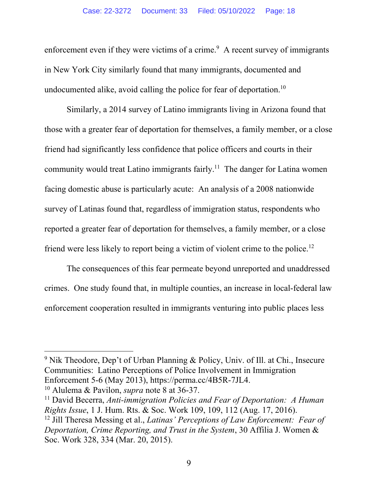enforcement even if they were victims of a crime. $9$  A recent survey of immigrants in New York City similarly found that many immigrants, documented and undocumented alike, avoid calling the police for fear of deportation.<sup>10</sup>

Similarly, a 2014 survey of Latino immigrants living in Arizona found that those with a greater fear of deportation for themselves, a family member, or a close friend had significantly less confidence that police officers and courts in their community would treat Latino immigrants fairly.<sup>11</sup> The danger for Latina women facing domestic abuse is particularly acute: An analysis of a 2008 nationwide survey of Latinas found that, regardless of immigration status, respondents who reported a greater fear of deportation for themselves, a family member, or a close friend were less likely to report being a victim of violent crime to the police.<sup>12</sup>

 The consequences of this fear permeate beyond unreported and unaddressed crimes. One study found that, in multiple counties, an increase in local-federal law enforcement cooperation resulted in immigrants venturing into public places less

<sup>&</sup>lt;sup>9</sup> Nik Theodore, Dep't of Urban Planning & Policy, Univ. of Ill. at Chi., Insecure Communities: Latino Perceptions of Police Involvement in Immigration Enforcement 5-6 (May 2013), https://perma.cc/4B5R-7JL4.

<sup>10</sup> Alulema & Pavilon, *supra* note 8 at 36-37.

<sup>11</sup> David Becerra, *Anti-immigration Policies and Fear of Deportation: A Human Rights Issue*, 1 J. Hum. Rts. & Soc. Work 109, 109, 112 (Aug. 17, 2016).

<sup>12</sup> Jill Theresa Messing et al., *Latinas' Perceptions of Law Enforcement: Fear of Deportation, Crime Reporting, and Trust in the System*, 30 Affilia J. Women & Soc. Work 328, 334 (Mar. 20, 2015).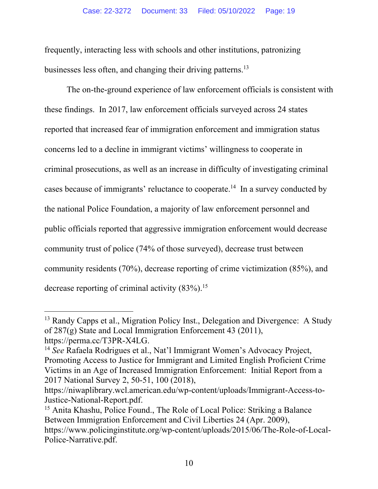frequently, interacting less with schools and other institutions, patronizing businesses less often, and changing their driving patterns.<sup>13</sup>

The on-the-ground experience of law enforcement officials is consistent with these findings. In 2017, law enforcement officials surveyed across 24 states reported that increased fear of immigration enforcement and immigration status concerns led to a decline in immigrant victims' willingness to cooperate in criminal prosecutions, as well as an increase in difficulty of investigating criminal cases because of immigrants' reluctance to cooperate.<sup>14</sup> In a survey conducted by the national Police Foundation, a majority of law enforcement personnel and public officials reported that aggressive immigration enforcement would decrease community trust of police (74% of those surveyed), decrease trust between community residents (70%), decrease reporting of crime victimization (85%), and decrease reporting of criminal activity  $(83\%)$ .<sup>15</sup>

<sup>&</sup>lt;sup>13</sup> Randy Capps et al., Migration Policy Inst., Delegation and Divergence: A Study of 287(g) State and Local Immigration Enforcement 43 (2011), https://perma.cc/T3PR-X4LG.

<sup>14</sup> *See* Rafaela Rodrigues et al., Nat'l Immigrant Women's Advocacy Project, Promoting Access to Justice for Immigrant and Limited English Proficient Crime Victims in an Age of Increased Immigration Enforcement: Initial Report from a 2017 National Survey 2, 50-51, 100 (2018),

https://niwaplibrary.wcl.american.edu/wp-content/uploads/Immigrant-Access-to-Justice-National-Report.pdf.

<sup>15</sup> Anita Khashu, Police Found., The Role of Local Police: Striking a Balance Between Immigration Enforcement and Civil Liberties 24 (Apr. 2009), https://www.policinginstitute.org/wp-content/uploads/2015/06/The-Role-of-Local-Police-Narrative.pdf.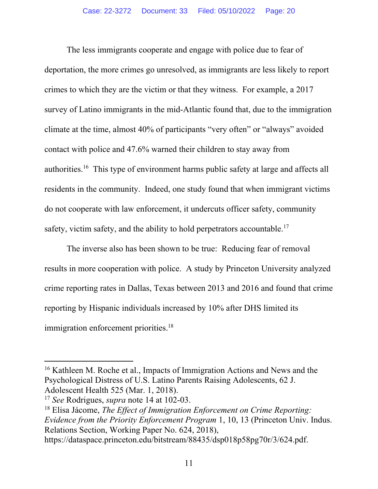The less immigrants cooperate and engage with police due to fear of deportation, the more crimes go unresolved, as immigrants are less likely to report crimes to which they are the victim or that they witness. For example, a 2017 survey of Latino immigrants in the mid-Atlantic found that, due to the immigration climate at the time, almost 40% of participants "very often" or "always" avoided contact with police and 47.6% warned their children to stay away from authorities.16 This type of environment harms public safety at large and affects all residents in the community. Indeed, one study found that when immigrant victims do not cooperate with law enforcement, it undercuts officer safety, community safety, victim safety, and the ability to hold perpetrators accountable.<sup>17</sup>

The inverse also has been shown to be true: Reducing fear of removal results in more cooperation with police. A study by Princeton University analyzed crime reporting rates in Dallas, Texas between 2013 and 2016 and found that crime reporting by Hispanic individuals increased by 10% after DHS limited its immigration enforcement priorities.<sup>18</sup>

<sup>&</sup>lt;sup>16</sup> Kathleen M. Roche et al., Impacts of Immigration Actions and News and the Psychological Distress of U.S. Latino Parents Raising Adolescents, 62 J. Adolescent Health 525 (Mar. 1, 2018).

<sup>17</sup> *See* Rodrigues, *supra* note 14 at 102-03.

<sup>18</sup> Elisa Jácome, *The Effect of Immigration Enforcement on Crime Reporting: Evidence from the Priority Enforcement Program* 1, 10, 13 (Princeton Univ. Indus. Relations Section, Working Paper No. 624, 2018),

https://dataspace.princeton.edu/bitstream/88435/dsp018p58pg70r/3/624.pdf.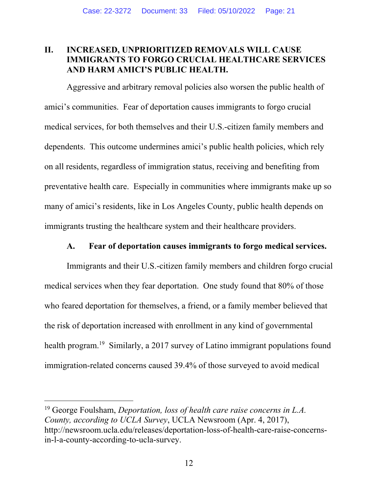# **II. INCREASED, UNPRIORITIZED REMOVALS WILL CAUSE IMMIGRANTS TO FORGO CRUCIAL HEALTHCARE SERVICES AND HARM AMICI'S PUBLIC HEALTH.**

Aggressive and arbitrary removal policies also worsen the public health of amici's communities. Fear of deportation causes immigrants to forgo crucial medical services, for both themselves and their U.S.-citizen family members and dependents. This outcome undermines amici's public health policies, which rely on all residents, regardless of immigration status, receiving and benefiting from preventative health care. Especially in communities where immigrants make up so many of amici's residents, like in Los Angeles County, public health depends on immigrants trusting the healthcare system and their healthcare providers.

#### **A. Fear of deportation causes immigrants to forgo medical services.**

Immigrants and their U.S.-citizen family members and children forgo crucial medical services when they fear deportation. One study found that 80% of those who feared deportation for themselves, a friend, or a family member believed that the risk of deportation increased with enrollment in any kind of governmental health program.<sup>19</sup> Similarly, a 2017 survey of Latino immigrant populations found immigration-related concerns caused 39.4% of those surveyed to avoid medical

<sup>19</sup> George Foulsham, *Deportation, loss of health care raise concerns in L.A. County, according to UCLA Survey*, UCLA Newsroom (Apr. 4, 2017), http://newsroom.ucla.edu/releases/deportation-loss-of-health-care-raise-concernsin-l-a-county-according-to-ucla-survey.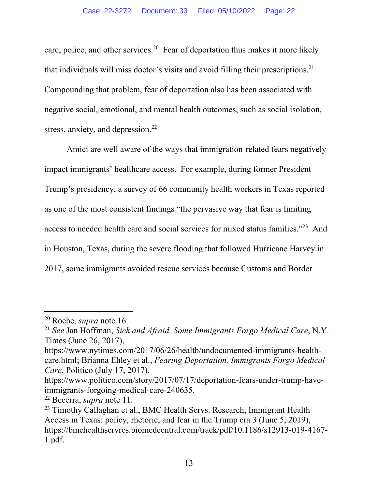care, police, and other services.<sup>20</sup> Fear of deportation thus makes it more likely that individuals will miss doctor's visits and avoid filling their prescriptions.<sup>21</sup> Compounding that problem, fear of deportation also has been associated with negative social, emotional, and mental health outcomes, such as social isolation, stress, anxiety, and depression.<sup>22</sup>

Amici are well aware of the ways that immigration-related fears negatively impact immigrants' healthcare access. For example, during former President Trump's presidency, a survey of 66 community health workers in Texas reported as one of the most consistent findings "the pervasive way that fear is limiting access to needed health care and social services for mixed status families."23 And in Houston, Texas, during the severe flooding that followed Hurricane Harvey in 2017, some immigrants avoided rescue services because Customs and Border

<sup>20</sup> Roche, *supra* note 16.

<sup>21</sup> *See* Jan Hoffman, *Sick and Afraid, Some Immigrants Forgo Medical Care*, N.Y. Times (June 26, 2017),

https://www.nytimes.com/2017/06/26/health/undocumented-immigrants-healthcare.html; Brianna Ehley et al., *Fearing Deportation, Immigrants Forgo Medical Care*, Politico (July 17, 2017),

https://www.politico.com/story/2017/07/17/deportation-fears-under-trump-haveimmigrants-forgoing-medical-care-240635.

<sup>22</sup> Becerra, *supra* note 11.

<sup>&</sup>lt;sup>23</sup> Timothy Callaghan et al., BMC Health Servs. Research, Immigrant Health Access in Texas: policy, rhetoric, and fear in the Trump era 3 (June 5, 2019), https://bmchealthservres.biomedcentral.com/track/pdf/10.1186/s12913-019-4167- 1.pdf.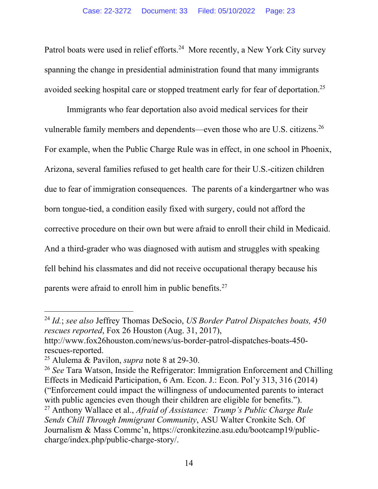Patrol boats were used in relief efforts.<sup>24</sup> More recently, a New York City survey spanning the change in presidential administration found that many immigrants avoided seeking hospital care or stopped treatment early for fear of deportation.25

Immigrants who fear deportation also avoid medical services for their vulnerable family members and dependents—even those who are U.S. citizens.26 For example, when the Public Charge Rule was in effect, in one school in Phoenix, Arizona, several families refused to get health care for their U.S.-citizen children due to fear of immigration consequences. The parents of a kindergartner who was born tongue-tied, a condition easily fixed with surgery, could not afford the corrective procedure on their own but were afraid to enroll their child in Medicaid. And a third-grader who was diagnosed with autism and struggles with speaking fell behind his classmates and did not receive occupational therapy because his parents were afraid to enroll him in public benefits.<sup>27</sup>

<sup>24</sup> *Id.*; *see also* Jeffrey Thomas DeSocio, *US Border Patrol Dispatches boats, 450 rescues reported*, Fox 26 Houston (Aug. 31, 2017), http://www.fox26houston.com/news/us-border-patrol-dispatches-boats-450 rescues-reported.

<sup>25</sup> Alulema & Pavilon, *supra* note 8 at 29-30.

<sup>26</sup> *See* Tara Watson, Inside the Refrigerator: Immigration Enforcement and Chilling Effects in Medicaid Participation, 6 Am. Econ. J.: Econ. Pol'y 313, 316 (2014) ("Enforcement could impact the willingness of undocumented parents to interact with public agencies even though their children are eligible for benefits.").

<sup>27</sup> Anthony Wallace et al., *Afraid of Assistance: Trump's Public Charge Rule Sends Chill Through Immigrant Community*, ASU Walter Cronkite Sch. Of Journalism & Mass Commc'n, https://cronkitezine.asu.edu/bootcamp19/publiccharge/index.php/public-charge-story/.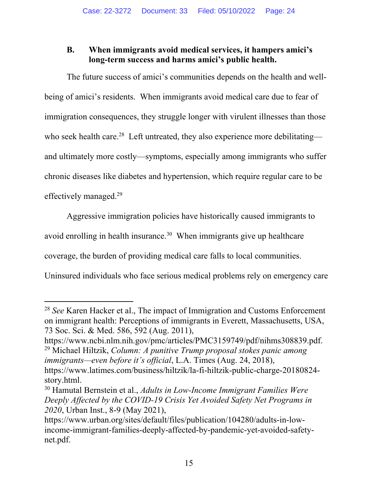# **B. When immigrants avoid medical services, it hampers amici's long-term success and harms amici's public health.**

The future success of amici's communities depends on the health and wellbeing of amici's residents. When immigrants avoid medical care due to fear of immigration consequences, they struggle longer with virulent illnesses than those who seek health care.<sup>28</sup> Left untreated, they also experience more debilitating and ultimately more costly—symptoms, especially among immigrants who suffer chronic diseases like diabetes and hypertension, which require regular care to be effectively managed.29

Aggressive immigration policies have historically caused immigrants to avoid enrolling in health insurance.<sup>30</sup> When immigrants give up healthcare coverage, the burden of providing medical care falls to local communities. Uninsured individuals who face serious medical problems rely on emergency care

https://www.ncbi.nlm.nih.gov/pmc/articles/PMC3159749/pdf/nihms308839.pdf. 29 Michael Hiltzik, *Column: A punitive Trump proposal stokes panic among immigrants—even before it's official*, L.A. Times (Aug. 24, 2018),

<sup>28</sup> *See* Karen Hacker et al., The impact of Immigration and Customs Enforcement on immigrant health: Perceptions of immigrants in Everett, Massachusetts, USA, 73 Soc. Sci. & Med. 586, 592 (Aug. 2011),

https://www.latimes.com/business/hiltzik/la-fi-hiltzik-public-charge-20180824 story.html.

<sup>30</sup> Hamutal Bernstein et al., *Adults in Low-Income Immigrant Families Were Deeply Affected by the COVID-19 Crisis Yet Avoided Safety Net Programs in 2020*, Urban Inst., 8-9 (May 2021),

https://www.urban.org/sites/default/files/publication/104280/adults-in-lowincome-immigrant-families-deeply-affected-by-pandemic-yet-avoided-safetynet.pdf.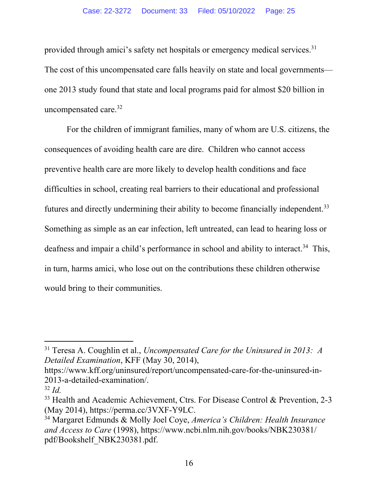provided through amici's safety net hospitals or emergency medical services.<sup>31</sup> The cost of this uncompensated care falls heavily on state and local governments one 2013 study found that state and local programs paid for almost \$20 billion in uncompensated care.32

For the children of immigrant families, many of whom are U.S. citizens, the consequences of avoiding health care are dire. Children who cannot access preventive health care are more likely to develop health conditions and face difficulties in school, creating real barriers to their educational and professional futures and directly undermining their ability to become financially independent.33 Something as simple as an ear infection, left untreated, can lead to hearing loss or deafness and impair a child's performance in school and ability to interact.<sup>34</sup> This, in turn, harms amici, who lose out on the contributions these children otherwise would bring to their communities.

<sup>31</sup> Teresa A. Coughlin et al., *Uncompensated Care for the Uninsured in 2013: A Detailed Examination*, KFF (May 30, 2014),

https://www.kff.org/uninsured/report/uncompensated-care-for-the-uninsured-in-2013-a-detailed-examination/.

<sup>32</sup> *Id.*

<sup>&</sup>lt;sup>33</sup> Health and Academic Achievement, Ctrs. For Disease Control & Prevention, 2-3 (May 2014), https://perma.cc/3VXF-Y9LC.

<sup>34</sup> Margaret Edmunds & Molly Joel Coye, *America's Children: Health Insurance and Access to Care* (1998), https://www.ncbi.nlm.nih.gov/books/NBK230381/ pdf/Bookshelf\_NBK230381.pdf.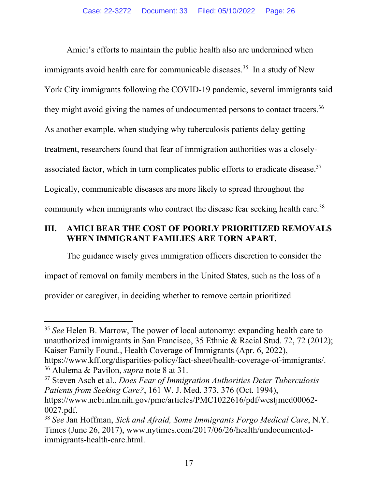Amici's efforts to maintain the public health also are undermined when immigrants avoid health care for communicable diseases.<sup>35</sup> In a study of New York City immigrants following the COVID-19 pandemic, several immigrants said they might avoid giving the names of undocumented persons to contact tracers.<sup>36</sup> As another example, when studying why tuberculosis patients delay getting treatment, researchers found that fear of immigration authorities was a closelyassociated factor, which in turn complicates public efforts to eradicate disease.37 Logically, communicable diseases are more likely to spread throughout the community when immigrants who contract the disease fear seeking health care.<sup>38</sup>

# **III. AMICI BEAR THE COST OF POORLY PRIORITIZED REMOVALS WHEN IMMIGRANT FAMILIES ARE TORN APART.**

The guidance wisely gives immigration officers discretion to consider the impact of removal on family members in the United States, such as the loss of a provider or caregiver, in deciding whether to remove certain prioritized

<sup>&</sup>lt;sup>35</sup> See Helen B. Marrow, The power of local autonomy: expanding health care to unauthorized immigrants in San Francisco, 35 Ethnic & Racial Stud. 72, 72 (2012); Kaiser Family Found., Health Coverage of Immigrants (Apr. 6, 2022), https://www.kff.org/disparities-policy/fact-sheet/health-coverage-of-immigrants/.

<sup>36</sup> Alulema & Pavilon, *supra* note 8 at 31.

<sup>37</sup> Steven Asch et al., *Does Fear of Immigration Authorities Deter Tuberculosis Patients from Seeking Care?*, 161 W. J. Med. 373, 376 (Oct. 1994), https://www.ncbi.nlm.nih.gov/pmc/articles/PMC1022616/pdf/westjmed00062- 0027.pdf.

<sup>38</sup> *See* Jan Hoffman, *Sick and Afraid, Some Immigrants Forgo Medical Care*, N.Y. Times (June 26, 2017), www.nytimes.com/2017/06/26/health/undocumentedimmigrants-health-care.html.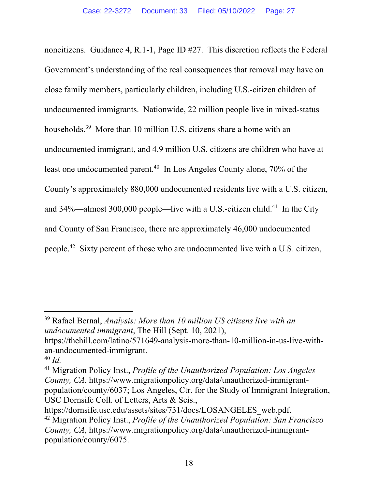noncitizens. Guidance 4, R.1-1, Page ID #27. This discretion reflects the Federal Government's understanding of the real consequences that removal may have on close family members, particularly children, including U.S.-citizen children of undocumented immigrants. Nationwide, 22 million people live in mixed-status households.<sup>39</sup> More than 10 million U.S. citizens share a home with an undocumented immigrant, and 4.9 million U.S. citizens are children who have at least one undocumented parent.<sup>40</sup> In Los Angeles County alone, 70% of the County's approximately 880,000 undocumented residents live with a U.S. citizen, and  $34\%$ —almost  $300,000$  people—live with a U.S.-citizen child.<sup>41</sup> In the City and County of San Francisco, there are approximately 46,000 undocumented people.42 Sixty percent of those who are undocumented live with a U.S. citizen,

39 Rafael Bernal, *Analysis: More than 10 million US citizens live with an undocumented immigrant*, The Hill (Sept. 10, 2021), https://thehill.com/latino/571649-analysis-more-than-10-million-in-us-live-withan-undocumented-immigrant. <sup>40</sup> *Id.* 

<sup>41</sup> Migration Policy Inst., *Profile of the Unauthorized Population: Los Angeles County, CA*, https://www.migrationpolicy.org/data/unauthorized-immigrantpopulation/county/6037; Los Angeles, Ctr. for the Study of Immigrant Integration, USC Dornsife Coll. of Letters, Arts & Scis.,

https://dornsife.usc.edu/assets/sites/731/docs/LOSANGELES\_web.pdf. 42 Migration Policy Inst., *Profile of the Unauthorized Population: San Francisco County, CA*, https://www.migrationpolicy.org/data/unauthorized-immigrantpopulation/county/6075.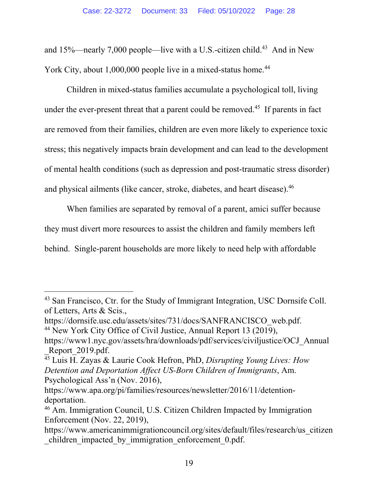and  $15\%$ —nearly 7,000 people—live with a U.S.-citizen child.<sup>43</sup> And in New York City, about 1,000,000 people live in a mixed-status home.<sup>44</sup>

Children in mixed-status families accumulate a psychological toll, living under the ever-present threat that a parent could be removed.<sup>45</sup> If parents in fact are removed from their families, children are even more likely to experience toxic stress; this negatively impacts brain development and can lead to the development of mental health conditions (such as depression and post-traumatic stress disorder) and physical ailments (like cancer, stroke, diabetes, and heart disease).<sup>46</sup>

When families are separated by removal of a parent, amici suffer because they must divert more resources to assist the children and family members left behind. Single-parent households are more likely to need help with affordable

<sup>43</sup> San Francisco, Ctr. for the Study of Immigrant Integration, USC Dornsife Coll. of Letters, Arts & Scis.,

https://dornsife.usc.edu/assets/sites/731/docs/SANFRANCISCO\_web.pdf.

<sup>44</sup> New York City Office of Civil Justice, Annual Report 13 (2019),

https://www1.nyc.gov/assets/hra/downloads/pdf/services/civiljustice/OCJ\_Annual Report 2019.pdf.

<sup>45</sup> Luis H. Zayas & Laurie Cook Hefron, PhD, *Disrupting Young Lives: How Detention and Deportation Affect US-Born Children of Immigrants*, Am. Psychological Ass'n (Nov. 2016),

https://www.apa.org/pi/families/resources/newsletter/2016/11/detentiondeportation.

<sup>46</sup> Am. Immigration Council, U.S. Citizen Children Impacted by Immigration Enforcement (Nov. 22, 2019),

https://www.americanimmigrationcouncil.org/sites/default/files/research/us\_citizen \_children\_impacted\_by\_immigration\_enforcement\_0.pdf.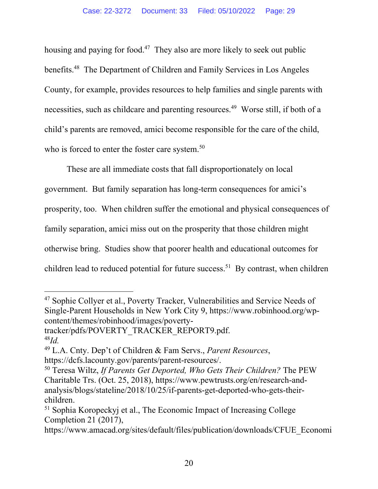housing and paying for food.<sup>47</sup> They also are more likely to seek out public benefits.48 The Department of Children and Family Services in Los Angeles County, for example, provides resources to help families and single parents with necessities, such as childcare and parenting resources.<sup>49</sup> Worse still, if both of a child's parents are removed, amici become responsible for the care of the child, who is forced to enter the foster care system.<sup>50</sup>

These are all immediate costs that fall disproportionately on local government. But family separation has long-term consequences for amici's prosperity, too. When children suffer the emotional and physical consequences of family separation, amici miss out on the prosperity that those children might otherwise bring. Studies show that poorer health and educational outcomes for children lead to reduced potential for future success.<sup>51</sup> By contrast, when children

<sup>&</sup>lt;sup>47</sup> Sophie Collyer et al., Poverty Tracker, Vulnerabilities and Service Needs of Single-Parent Households in New York City 9, https://www.robinhood.org/wpcontent/themes/robinhood/images/povertytracker/pdfs/POVERTY\_TRACKER\_REPORT9.pdf. <sup>48</sup>*Id.* 

<sup>49</sup> L.A. Cnty. Dep't of Children & Fam Servs., *Parent Resources*, https://dcfs.lacounty.gov/parents/parent-resources/.

<sup>50</sup> Teresa Wiltz, *If Parents Get Deported, Who Gets Their Children?* The PEW Charitable Trs. (Oct. 25, 2018), https://www.pewtrusts.org/en/research-andanalysis/blogs/stateline/2018/10/25/if-parents-get-deported-who-gets-theirchildren.

<sup>51</sup> Sophia Koropeckyj et al., The Economic Impact of Increasing College Completion 21 (2017),

https://www.amacad.org/sites/default/files/publication/downloads/CFUE\_Economi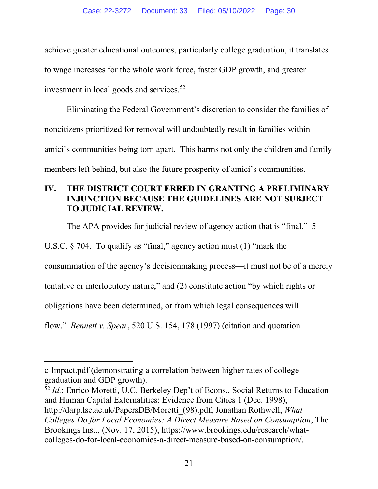achieve greater educational outcomes, particularly college graduation, it translates to wage increases for the whole work force, faster GDP growth, and greater investment in local goods and services.<sup>52</sup>

Eliminating the Federal Government's discretion to consider the families of noncitizens prioritized for removal will undoubtedly result in families within amici's communities being torn apart. This harms not only the children and family members left behind, but also the future prosperity of amici's communities.

# **IV. THE DISTRICT COURT ERRED IN GRANTING A PRELIMINARY INJUNCTION BECAUSE THE GUIDELINES ARE NOT SUBJECT TO JUDICIAL REVIEW.**

The APA provides for judicial review of agency action that is "final." 5

U.S.C. § 704. To qualify as "final," agency action must (1) "mark the

consummation of the agency's decisionmaking process—it must not be of a merely

tentative or interlocutory nature," and (2) constitute action "by which rights or

obligations have been determined, or from which legal consequences will

flow." *Bennett v. Spear*, 520 U.S. 154, 178 (1997) (citation and quotation

<sup>52</sup> *Id.*; Enrico Moretti, U.C. Berkeley Dep't of Econs., Social Returns to Education and Human Capital Externalities: Evidence from Cities 1 (Dec. 1998), http://darp.lse.ac.uk/PapersDB/Moretti\_(98).pdf; Jonathan Rothwell, *What Colleges Do for Local Economies: A Direct Measure Based on Consumption*, The Brookings Inst., (Nov. 17, 2015), https://www.brookings.edu/research/whatcolleges-do-for-local-economies-a-direct-measure-based-on-consumption/.

c-Impact.pdf (demonstrating a correlation between higher rates of college graduation and GDP growth).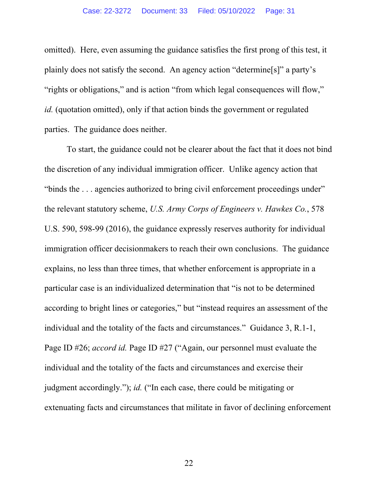omitted). Here, even assuming the guidance satisfies the first prong of this test, it plainly does not satisfy the second. An agency action "determine[s]" a party's "rights or obligations," and is action "from which legal consequences will flow," *id.* (quotation omitted), only if that action binds the government or regulated parties. The guidance does neither.

To start, the guidance could not be clearer about the fact that it does not bind the discretion of any individual immigration officer. Unlike agency action that "binds the . . . agencies authorized to bring civil enforcement proceedings under" the relevant statutory scheme, *U.S. Army Corps of Engineers v. Hawkes Co.*, 578 U.S. 590, 598-99 (2016), the guidance expressly reserves authority for individual immigration officer decisionmakers to reach their own conclusions. The guidance explains, no less than three times, that whether enforcement is appropriate in a particular case is an individualized determination that "is not to be determined according to bright lines or categories," but "instead requires an assessment of the individual and the totality of the facts and circumstances." Guidance 3, R.1-1, Page ID #26; *accord id.* Page ID #27 ("Again, our personnel must evaluate the individual and the totality of the facts and circumstances and exercise their judgment accordingly."); *id.* ("In each case, there could be mitigating or extenuating facts and circumstances that militate in favor of declining enforcement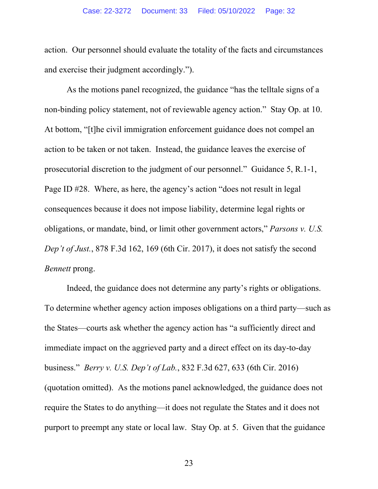action. Our personnel should evaluate the totality of the facts and circumstances and exercise their judgment accordingly.").

As the motions panel recognized, the guidance "has the telltale signs of a non-binding policy statement, not of reviewable agency action." Stay Op. at 10. At bottom, "[t]he civil immigration enforcement guidance does not compel an action to be taken or not taken. Instead, the guidance leaves the exercise of prosecutorial discretion to the judgment of our personnel." Guidance 5, R.1-1, Page ID #28. Where, as here, the agency's action "does not result in legal consequences because it does not impose liability, determine legal rights or obligations, or mandate, bind, or limit other government actors," *Parsons v. U.S. Dep't of Just.*, 878 F.3d 162, 169 (6th Cir. 2017), it does not satisfy the second *Bennett* prong.

Indeed, the guidance does not determine any party's rights or obligations. To determine whether agency action imposes obligations on a third party—such as the States—courts ask whether the agency action has "a sufficiently direct and immediate impact on the aggrieved party and a direct effect on its day-to-day business." *Berry v. U.S. Dep't of Lab.*, 832 F.3d 627, 633 (6th Cir. 2016) (quotation omitted). As the motions panel acknowledged, the guidance does not require the States to do anything—it does not regulate the States and it does not purport to preempt any state or local law. Stay Op. at 5. Given that the guidance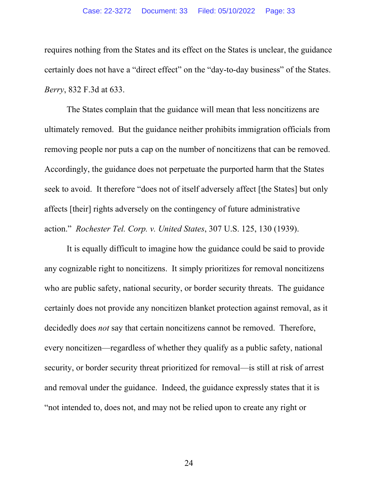requires nothing from the States and its effect on the States is unclear, the guidance certainly does not have a "direct effect" on the "day-to-day business" of the States. *Berry*, 832 F.3d at 633.

The States complain that the guidance will mean that less noncitizens are ultimately removed. But the guidance neither prohibits immigration officials from removing people nor puts a cap on the number of noncitizens that can be removed. Accordingly, the guidance does not perpetuate the purported harm that the States seek to avoid. It therefore "does not of itself adversely affect [the States] but only affects [their] rights adversely on the contingency of future administrative action." *Rochester Tel. Corp. v. United States*, 307 U.S. 125, 130 (1939).

It is equally difficult to imagine how the guidance could be said to provide any cognizable right to noncitizens. It simply prioritizes for removal noncitizens who are public safety, national security, or border security threats. The guidance certainly does not provide any noncitizen blanket protection against removal, as it decidedly does *not* say that certain noncitizens cannot be removed. Therefore, every noncitizen—regardless of whether they qualify as a public safety, national security, or border security threat prioritized for removal—is still at risk of arrest and removal under the guidance. Indeed, the guidance expressly states that it is "not intended to, does not, and may not be relied upon to create any right or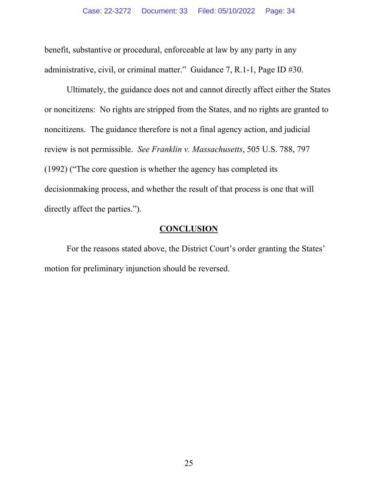benefit, substantive or procedural, enforceable at law by any party in any administrative, civil, or criminal matter." Guidance 7, R.1-1, Page ID #30.

Ultimately, the guidance does not and cannot directly affect either the States or noncitizens: No rights are stripped from the States, and no rights are granted to noncitizens. The guidance therefore is not a final agency action, and judicial review is not permissible. *See Franklin v. Massachusetts*, 505 U.S. 788, 797 (1992) ("The core question is whether the agency has completed its decisionmaking process, and whether the result of that process is one that will directly affect the parties.").

## **CONCLUSION**

For the reasons stated above, the District Court's order granting the States' motion for preliminary injunction should be reversed.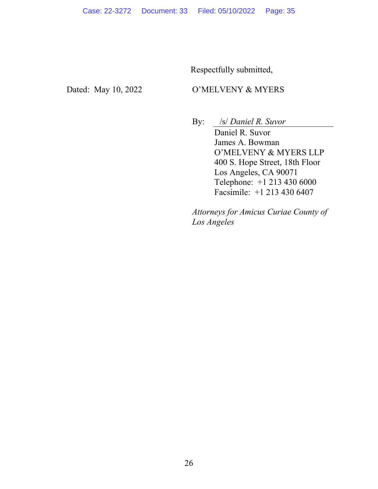Respectfully submitted,

# Dated: May 10, 2022 O'MELVENY & MYERS

By: /s/ *Daniel R. Suvor*

Daniel R. Suvor James A. Bowman O'MELVENY & MYERS LLP 400 S. Hope Street, 18th Floor Los Angeles, CA 90071 Telephone: +1 213 430 6000 Facsimile: +1 213 430 6407

*Attorneys for Amicus Curiae County of Los Angeles*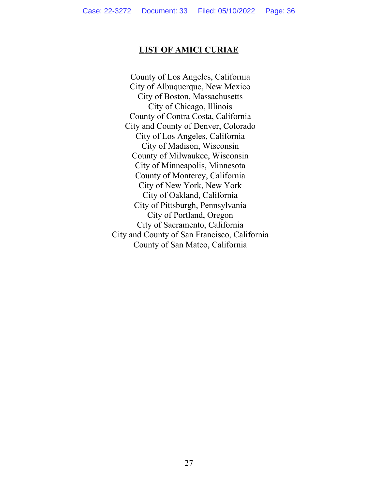#### **LIST OF AMICI CURIAE**

County of Los Angeles, California City of Albuquerque, New Mexico City of Boston, Massachusetts City of Chicago, Illinois County of Contra Costa, California City and County of Denver, Colorado City of Los Angeles, California City of Madison, Wisconsin County of Milwaukee, Wisconsin City of Minneapolis, Minnesota County of Monterey, California City of New York, New York City of Oakland, California City of Pittsburgh, Pennsylvania City of Portland, Oregon City of Sacramento, California City and County of San Francisco, California County of San Mateo, California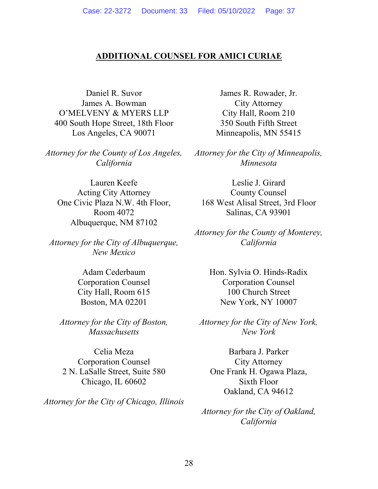#### **ADDITIONAL COUNSEL FOR AMICI CURIAE**

Daniel R. Suvor James A. Bowman O'MELVENY & MYERS LLP 400 South Hope Street, 18th Floor Los Angeles, CA 90071

*Attorney for the County of Los Angeles, California* 

Lauren Keefe Acting City Attorney One Civic Plaza N.W. 4th Floor, Room 4072 Albuquerque, NM 87102

*Attorney for the City of Albuquerque, New Mexico* 

> Adam Cederbaum Corporation Counsel City Hall, Room 615 Boston, MA 02201

*Attorney for the City of Boston, Massachusetts* 

Celia Meza Corporation Counsel 2 N. LaSalle Street, Suite 580 Chicago, IL 60602

*Attorney for the City of Chicago, Illinois* 

James R. Rowader, Jr. City Attorney City Hall, Room 210 350 South Fifth Street Minneapolis, MN 55415

*Attorney for the City of Minneapolis, Minnesota* 

Leslie J. Girard County Counsel 168 West Alisal Street, 3rd Floor Salinas, CA 93901

*Attorney for the County of Monterey, California* 

> Hon. Sylvia O. Hinds-Radix Corporation Counsel 100 Church Street New York, NY 10007

*Attorney for the City of New York, New York* 

Barbara J. Parker City Attorney One Frank H. Ogawa Plaza, Sixth Floor Oakland, CA 94612

*Attorney for the City of Oakland, California*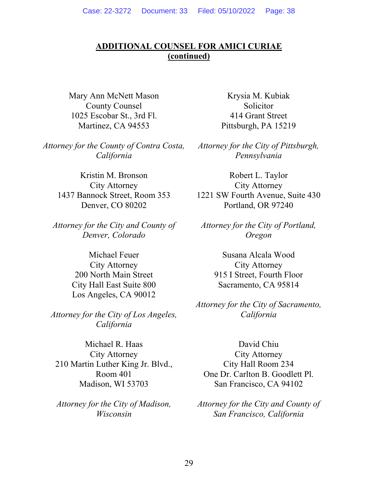# **ADDITIONAL COUNSEL FOR AMICI CURIAE (continued)**

Mary Ann McNett Mason County Counsel 1025 Escobar St., 3rd Fl. Martinez, CA 94553

*Attorney for the County of Contra Costa, California* 

> Kristin M. Bronson City Attorney 1437 Bannock Street, Room 353 Denver, CO 80202

*Attorney for the City and County of Denver, Colorado* 

> Michael Feuer City Attorney 200 North Main Street City Hall East Suite 800 Los Angeles, CA 90012

*Attorney for the City of Los Angeles, California* 

Michael R. Haas City Attorney 210 Martin Luther King Jr. Blvd., Room 401 Madison, WI 53703

*Attorney for the City of Madison, Wisconsin* 

Krysia M. Kubiak Solicitor 414 Grant Street Pittsburgh, PA 15219

*Attorney for the City of Pittsburgh, Pennsylvania* 

Robert L. Taylor City Attorney 1221 SW Fourth Avenue, Suite 430 Portland, OR 97240

*Attorney for the City of Portland, Oregon* 

> Susana Alcala Wood City Attorney 915 I Street, Fourth Floor Sacramento, CA 95814

*Attorney for the City of Sacramento, California* 

David Chiu City Attorney City Hall Room 234 One Dr. Carlton B. Goodlett Pl. San Francisco, CA 94102

*Attorney for the City and County of San Francisco, California*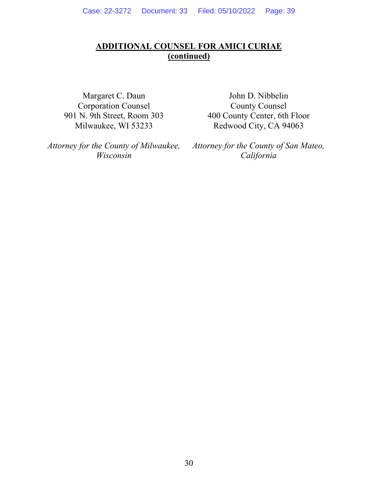# **ADDITIONAL COUNSEL FOR AMICI CURIAE (continued)**

Margaret C. Daun Corporation Counsel 901 N. 9th Street, Room 303 Milwaukee, WI 53233

John D. Nibbelin County Counsel 400 County Center, 6th Floor Redwood City, CA 94063

*Attorney for the County of Milwaukee, Wisconsin* 

*Attorney for the County of San Mateo, California*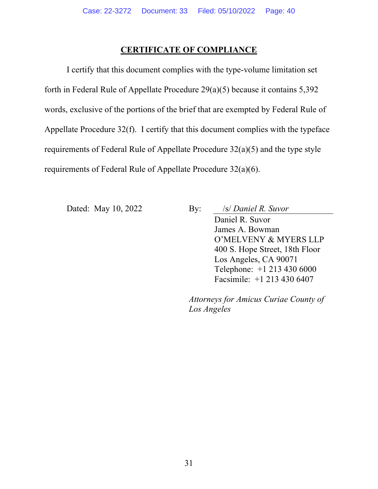# **CERTIFICATE OF COMPLIANCE**

 I certify that this document complies with the type-volume limitation set forth in Federal Rule of Appellate Procedure 29(a)(5) because it contains 5,392 words, exclusive of the portions of the brief that are exempted by Federal Rule of Appellate Procedure 32(f). I certify that this document complies with the typeface requirements of Federal Rule of Appellate Procedure 32(a)(5) and the type style requirements of Federal Rule of Appellate Procedure 32(a)(6).

Dated: May 10, 2022 By: *Isl Daniel R. Suvor* Daniel R. Suvor James A. Bowman O'MELVENY & MYERS LLP 400 S. Hope Street, 18th Floor Los Angeles, CA 90071 Telephone: +1 213 430 6000 Facsimile: +1 213 430 6407

> *Attorneys for Amicus Curiae County of Los Angeles*